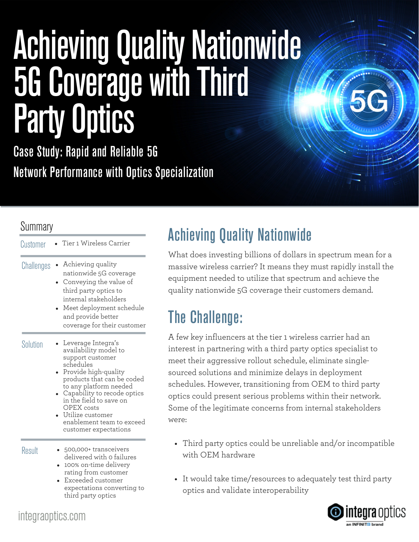# Achieving Quality Nationwide 5G Coverage with Third Party Optics

Case Study: Rapid and Reliable 5G Network Performance with Optics Specialization

### Summary

| Customer   | Tier 1 Wireless Carrier                                                                                                                                                                                                                                                                                               |
|------------|-----------------------------------------------------------------------------------------------------------------------------------------------------------------------------------------------------------------------------------------------------------------------------------------------------------------------|
| Challenges | Achieving quality<br>nationwide 5G coverage<br>Conveying the value of<br>third party optics to<br>internal stakeholders<br>Meet deployment schedule<br>and provide better<br>coverage for their customer                                                                                                              |
| Solution   | Leverage Integra's<br>availability model to<br>support customer<br>schedules<br>Provide high-quality<br>products that can be coded<br>to any platform needed<br>Capability to recode optics<br>in the field to save on<br><b>OPEX</b> costs<br>Utilize customer<br>enablement team to exceed<br>customer expectations |
| Result     | 500,000+ transceivers<br>delivered with o failures<br>100% on-time delivery<br>rating from customer<br>Exceeded customer<br>expectations converting to<br>third party optics                                                                                                                                          |

# Achieving Quality Nationwide

What does investing billions of dollars in spectrum mean for a massive wireless carrier? It means they must rapidly install the equipment needed to utilize that spectrum and achieve the quality nationwide 5G coverage their customers demand.

# The Challenge:

A few key influencers at the tier 1 wireless carrier had an interest in partnering with a third party optics specialist to meet their aggressive rollout schedule, eliminate singlesourced solutions and minimize delays in deployment schedules. However, transitioning from OEM to third party optics could present serious problems within their network. Some of the legitimate concerns from internal stakeholders were:

- Third party optics could be unreliable and/or incompatible with OEM hardware
- It would take time/resources to adequately test third party optics and validate interoperability



integraoptics.com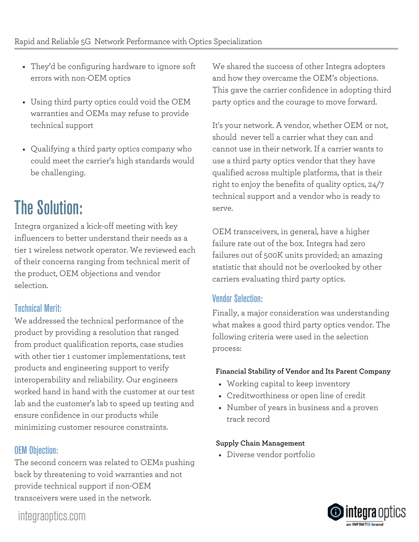- They'd be configuring hardware to ignore soft errors with non-OEM optics
- Using third party optics could void the OEM warranties and OEMs may refuse to provide technical support
- Qualifying a third party optics company who could meet the carrier's high standards would be challenging.

# The Solution:

Integra organized a kick-off meeting with key influencers to better understand their needs as a tier 1 wireless network operator. We reviewed each of their concerns ranging from technical merit of the product, OEM objections and vendor selection.

### Technical Merit:

We addressed the technical performance of the product by providing a resolution that ranged from product qualification reports, case studies with other tier 1 customer implementations, test products and engineering support to verify interoperability and reliability. Our engineers worked hand in hand with the customer at our test lab and the customer's lab to speed up testing and ensure confidence in our products while minimizing customer resource constraints.

### OEM Objection:

The second concern was related to OEMs pushing back by threatening to void warranties and not provide technical support if non-OEM transceivers were used in the network.

We shared the success of other Integra adopters and how they overcame the OEM's objections. This gave the carrier confidence in adopting third party optics and the courage to move forward.

It's your network. A vendor, whether OEM or not, should never tell a carrier what they can and cannot use in their network. If a carrier wants to use a third party optics vendor that they have qualified across multiple platforms, that is their right to enjoy the benefits of quality optics, 24/7 technical support and a vendor who is ready to serve.

OEM transceivers, in general, have a higher failure rate out of the box. Integra had zero failures out of 500K units provided; an amazing statistic that should not be overlooked by other carriers evaluating third party optics.

### Vendor Selection:

Finally, a major consideration was understanding what makes a good third party optics vendor. The following criteria were used in the selection process:

#### **Financial Stability of Vendor and Its Parent Company**

- Working capital to keep inventory
- Creditworthiness or open line of credit
- Number of years in business and a proven track record

#### **Supply Chain Management**

Diverse vendor portfolio



integraoptics.com